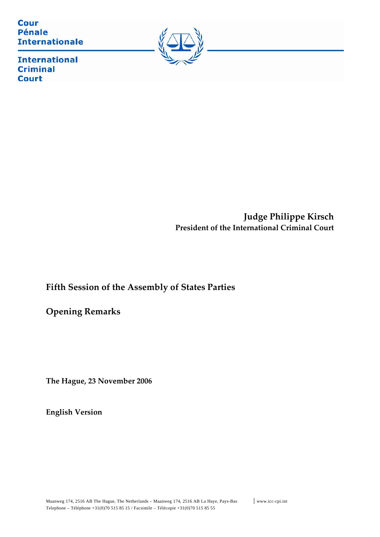**Cour Pénale Internationale** 



**International Criminal Court** 

> **Judge Philippe Kirsch President of the International Criminal Court**

# **Fifth Session of the Assembly of States Parties**

**Opening Remarks** 

**The Hague, 23 November 2006**

**English Version**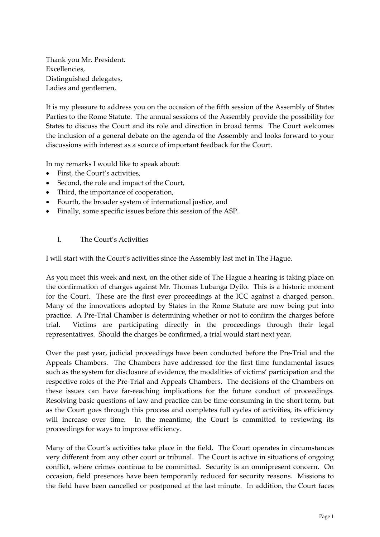Thank you Mr. President. Excellencies, Distinguished delegates, Ladies and gentlemen,

It is my pleasure to address you on the occasion of the fifth session of the Assembly of States Parties to the Rome Statute. The annual sessions of the Assembly provide the possibility for States to discuss the Court and its role and direction in broad terms. The Court welcomes the inclusion of a general debate on the agenda of the Assembly and looks forward to your discussions with interest as a source of important feedback for the Court.

In my remarks I would like to speak about:

- First, the Court's activities.
- Second, the role and impact of the Court,
- Third, the importance of cooperation,
- Fourth, the broader system of international justice, and
- Finally, some specific issues before this session of the ASP.

#### I. The Court's Activities

I will start with the Court's activities since the Assembly last met in The Hague.

As you meet this week and next, on the other side of The Hague a hearing is taking place on the confirmation of charges against Mr. Thomas Lubanga Dyilo. This is a historic moment for the Court. These are the first ever proceedings at the ICC against a charged person. Many of the innovations adopted by States in the Rome Statute are now being put into practice. A Pre‐Trial Chamber is determining whether or not to confirm the charges before trial. Victims are participating directly in the proceedings through their legal representatives. Should the charges be confirmed, a trial would start next year.

Over the past year, judicial proceedings have been conducted before the Pre‐Trial and the Appeals Chambers. The Chambers have addressed for the first time fundamental issues such as the system for disclosure of evidence, the modalities of victims' participation and the respective roles of the Pre‐Trial and Appeals Chambers. The decisions of the Chambers on these issues can have far-reaching implications for the future conduct of proceedings. Resolving basic questions of law and practice can be time‐consuming in the short term, but as the Court goes through this process and completes full cycles of activities, its efficiency will increase over time. In the meantime, the Court is committed to reviewing its proceedings for ways to improve efficiency.

Many of the Court's activities take place in the field. The Court operates in circumstances very different from any other court or tribunal. The Court is active in situations of ongoing conflict, where crimes continue to be committed. Security is an omnipresent concern. On occasion, field presences have been temporarily reduced for security reasons. Missions to the field have been cancelled or postponed at the last minute. In addition, the Court faces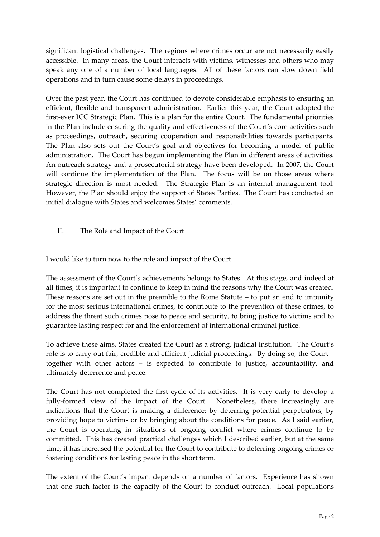significant logistical challenges. The regions where crimes occur are not necessarily easily accessible. In many areas, the Court interacts with victims, witnesses and others who may speak any one of a number of local languages. All of these factors can slow down field operations and in turn cause some delays in proceedings.

Over the past year, the Court has continued to devote considerable emphasis to ensuring an efficient, flexible and transparent administration. Earlier this year, the Court adopted the first-ever ICC Strategic Plan. This is a plan for the entire Court. The fundamental priorities in the Plan include ensuring the quality and effectiveness of the Court's core activities such as proceedings, outreach, securing cooperation and responsibilities towards participants. The Plan also sets out the Court's goal and objectives for becoming a model of public administration. The Court has begun implementing the Plan in different areas of activities. An outreach strategy and a prosecutorial strategy have been developed. In 2007, the Court will continue the implementation of the Plan. The focus will be on those areas where strategic direction is most needed. The Strategic Plan is an internal management tool. However, the Plan should enjoy the support of States Parties. The Court has conducted an initial dialogue with States and welcomes States' comments.

### II. The Role and Impact of the Court

I would like to turn now to the role and impact of the Court.

The assessment of the Court's achievements belongs to States. At this stage, and indeed at all times, it is important to continue to keep in mind the reasons why the Court was created. These reasons are set out in the preamble to the Rome Statute – to put an end to impunity for the most serious international crimes, to contribute to the prevention of these crimes, to address the threat such crimes pose to peace and security, to bring justice to victims and to guarantee lasting respect for and the enforcement of international criminal justice.

To achieve these aims, States created the Court as a strong, judicial institution. The Court's role is to carry out fair, credible and efficient judicial proceedings. By doing so, the Court – together with other actors – is expected to contribute to justice, accountability, and ultimately deterrence and peace.

The Court has not completed the first cycle of its activities. It is very early to develop a fully-formed view of the impact of the Court. Nonetheless, there increasingly are indications that the Court is making a difference: by deterring potential perpetrators, by providing hope to victims or by bringing about the conditions for peace. As I said earlier, the Court is operating in situations of ongoing conflict where crimes continue to be committed. This has created practical challenges which I described earlier, but at the same time, it has increased the potential for the Court to contribute to deterring ongoing crimes or fostering conditions for lasting peace in the short term.

The extent of the Court's impact depends on a number of factors. Experience has shown that one such factor is the capacity of the Court to conduct outreach. Local populations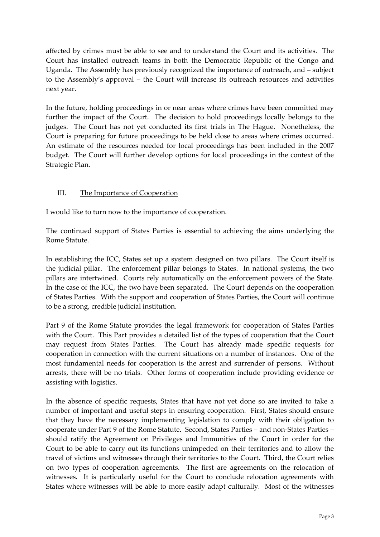affected by crimes must be able to see and to understand the Court and its activities. The Court has installed outreach teams in both the Democratic Republic of the Congo and Uganda. The Assembly has previously recognized the importance of outreach, and – subject to the Assembly's approval – the Court will increase its outreach resources and activities next year.

In the future, holding proceedings in or near areas where crimes have been committed may further the impact of the Court. The decision to hold proceedings locally belongs to the judges. The Court has not yet conducted its first trials in The Hague. Nonetheless, the Court is preparing for future proceedings to be held close to areas where crimes occurred. An estimate of the resources needed for local proceedings has been included in the 2007 budget. The Court will further develop options for local proceedings in the context of the Strategic Plan.

### III. The Importance of Cooperation

I would like to turn now to the importance of cooperation.

The continued support of States Parties is essential to achieving the aims underlying the Rome Statute.

In establishing the ICC, States set up a system designed on two pillars. The Court itself is the judicial pillar. The enforcement pillar belongs to States. In national systems, the two pillars are intertwined. Courts rely automatically on the enforcement powers of the State. In the case of the ICC, the two have been separated. The Court depends on the cooperation of States Parties. With the support and cooperation of States Parties, the Court will continue to be a strong, credible judicial institution.

Part 9 of the Rome Statute provides the legal framework for cooperation of States Parties with the Court. This Part provides a detailed list of the types of cooperation that the Court may request from States Parties. The Court has already made specific requests for cooperation in connection with the current situations on a number of instances. One of the most fundamental needs for cooperation is the arrest and surrender of persons. Without arrests, there will be no trials. Other forms of cooperation include providing evidence or assisting with logistics.

In the absence of specific requests, States that have not yet done so are invited to take a number of important and useful steps in ensuring cooperation. First, States should ensure that they have the necessary implementing legislation to comply with their obligation to cooperate under Part 9 of the Rome Statute. Second, States Parties – and non‐States Parties – should ratify the Agreement on Privileges and Immunities of the Court in order for the Court to be able to carry out its functions unimpeded on their territories and to allow the travel of victims and witnesses through their territories to the Court. Third, the Court relies on two types of cooperation agreements. The first are agreements on the relocation of witnesses. It is particularly useful for the Court to conclude relocation agreements with States where witnesses will be able to more easily adapt culturally. Most of the witnesses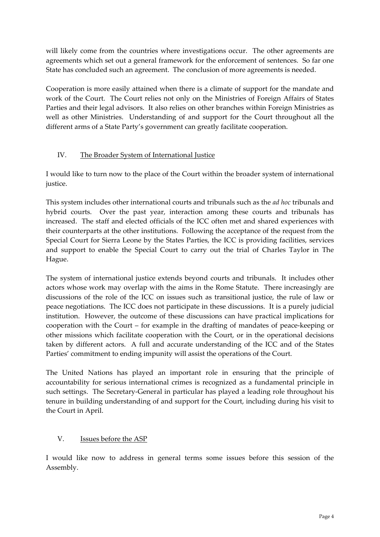will likely come from the countries where investigations occur. The other agreements are agreements which set out a general framework for the enforcement of sentences. So far one State has concluded such an agreement. The conclusion of more agreements is needed.

Cooperation is more easily attained when there is a climate of support for the mandate and work of the Court. The Court relies not only on the Ministries of Foreign Affairs of States Parties and their legal advisors. It also relies on other branches within Foreign Ministries as well as other Ministries. Understanding of and support for the Court throughout all the different arms of a State Party's government can greatly facilitate cooperation.

## IV. The Broader System of International Justice

I would like to turn now to the place of the Court within the broader system of international justice.

This system includes other international courts and tribunals such as the *ad hoc* tribunals and hybrid courts. Over the past year, interaction among these courts and tribunals has increased. The staff and elected officials of the ICC often met and shared experiences with their counterparts at the other institutions. Following the acceptance of the request from the Special Court for Sierra Leone by the States Parties, the ICC is providing facilities, services and support to enable the Special Court to carry out the trial of Charles Taylor in The Hague.

The system of international justice extends beyond courts and tribunals. It includes other actors whose work may overlap with the aims in the Rome Statute. There increasingly are discussions of the role of the ICC on issues such as transitional justice, the rule of law or peace negotiations. The ICC does not participate in these discussions. It is a purely judicial institution. However, the outcome of these discussions can have practical implications for cooperation with the Court – for example in the drafting of mandates of peace‐keeping or other missions which facilitate cooperation with the Court, or in the operational decisions taken by different actors. A full and accurate understanding of the ICC and of the States Parties' commitment to ending impunity will assist the operations of the Court.

The United Nations has played an important role in ensuring that the principle of accountability for serious international crimes is recognized as a fundamental principle in such settings. The Secretary‐General in particular has played a leading role throughout his tenure in building understanding of and support for the Court, including during his visit to the Court in April.

### V. Issues before the ASP

I would like now to address in general terms some issues before this session of the Assembly.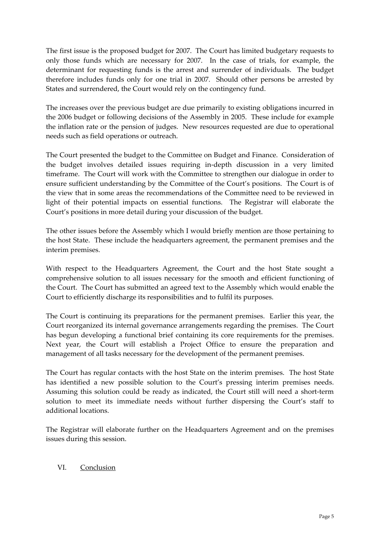The first issue is the proposed budget for 2007. The Court has limited budgetary requests to only those funds which are necessary for 2007. In the case of trials, for example, the determinant for requesting funds is the arrest and surrender of individuals. The budget therefore includes funds only for one trial in 2007. Should other persons be arrested by States and surrendered, the Court would rely on the contingency fund.

The increases over the previous budget are due primarily to existing obligations incurred in the 2006 budget or following decisions of the Assembly in 2005. These include for example the inflation rate or the pension of judges. New resources requested are due to operational needs such as field operations or outreach.

The Court presented the budget to the Committee on Budget and Finance. Consideration of the budget involves detailed issues requiring in‐depth discussion in a very limited timeframe. The Court will work with the Committee to strengthen our dialogue in order to ensure sufficient understanding by the Committee of the Court's positions. The Court is of the view that in some areas the recommendations of the Committee need to be reviewed in light of their potential impacts on essential functions. The Registrar will elaborate the Court's positions in more detail during your discussion of the budget.

The other issues before the Assembly which I would briefly mention are those pertaining to the host State. These include the headquarters agreement, the permanent premises and the interim premises.

With respect to the Headquarters Agreement, the Court and the host State sought a comprehensive solution to all issues necessary for the smooth and efficient functioning of the Court. The Court has submitted an agreed text to the Assembly which would enable the Court to efficiently discharge its responsibilities and to fulfil its purposes.

The Court is continuing its preparations for the permanent premises. Earlier this year, the Court reorganized its internal governance arrangements regarding the premises. The Court has begun developing a functional brief containing its core requirements for the premises. Next year, the Court will establish a Project Office to ensure the preparation and management of all tasks necessary for the development of the permanent premises.

The Court has regular contacts with the host State on the interim premises. The host State has identified a new possible solution to the Court's pressing interim premises needs. Assuming this solution could be ready as indicated, the Court still will need a short‐term solution to meet its immediate needs without further dispersing the Court's staff to additional locations.

The Registrar will elaborate further on the Headquarters Agreement and on the premises issues during this session.

### VI. Conclusion